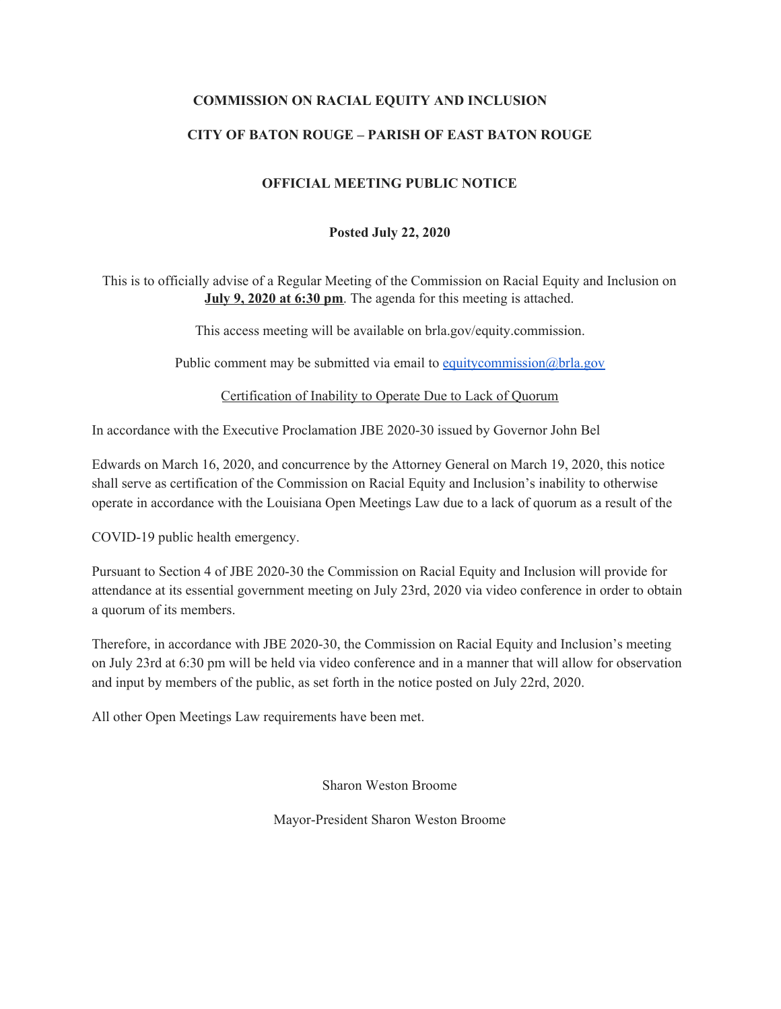### **COMMISSION ON RACIAL EQUITY AND INCLUSION**

## **CITY OF BATON ROUGE – PARISH OF EAST BATON ROUGE**

#### **OFFICIAL MEETING PUBLIC NOTICE**

#### **Posted July 22, 2020**

This is to officially advise of a Regular Meeting of the Commission on Racial Equity and Inclusion on **July 9, 2020 at 6:30 pm**. The agenda for this meeting is attached.

This access meeting will be available on brla.gov/equity.commission.

Public comment may be submitted via email to [equitycommission@brla.gov](mailto:equitycommission@brla.gov)

Certification of Inability to Operate Due to Lack of Quorum

In accordance with the Executive Proclamation JBE 2020-30 issued by Governor John Bel

Edwards on March 16, 2020, and concurrence by the Attorney General on March 19, 2020, this notice shall serve as certification of the Commission on Racial Equity and Inclusion's inability to otherwise operate in accordance with the Louisiana Open Meetings Law due to a lack of quorum as a result of the

COVID-19 public health emergency.

Pursuant to Section 4 of JBE 2020-30 the Commission on Racial Equity and Inclusion will provide for attendance at its essential government meeting on July 23rd, 2020 via video conference in order to obtain a quorum of its members.

Therefore, in accordance with JBE 2020-30, the Commission on Racial Equity and Inclusion's meeting on July 23rd at 6:30 pm will be held via video conference and in a manner that will allow for observation and input by members of the public, as set forth in the notice posted on July 22rd, 2020.

All other Open Meetings Law requirements have been met.

Sharon Weston Broome

Mayor-President Sharon Weston Broome